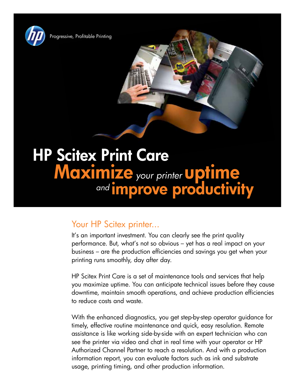

Progressive, Profitable Printing

# HP Scitex Print Care Maximize your printer **Uptime** and **improve productivity**

# Your HP Scitex printer...

It's an important investment. You can clearly see the print quality performance. But, what's not so obvious – yet has a real impact on your business – are the production efficiencies and savings you get when your printing runs smoothly, day after day.

HP Scitex Print Care is a set of maintenance tools and services that help you maximize uptime. You can anticipate technical issues before they cause downtime, maintain smooth operations, and achieve production efficiencies to reduce costs and waste.

With the enhanced diagnostics, you get step-by-step operator guidance for timely, effective routine maintenance and quick, easy resolution. Remote assistance is like working side-by-side with an expert technician who can see the printer via video and chat in real time with your operator or HP Authorized Channel Partner to reach a resolution. And with a production information report, you can evaluate factors such as ink and substrate usage, printing timing, and other production information.